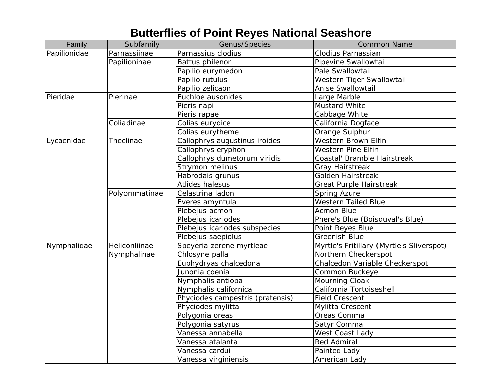## **Butterflies of Point Reyes National Seashore**

| Family       | Subfamily     | Genus/Species                    | <b>Common Name</b>                        |
|--------------|---------------|----------------------------------|-------------------------------------------|
| Papilionidae | Parnassiinae  | Parnassius clodius               | Clodius Parnassian                        |
|              | Papilioninae  | <b>Battus philenor</b>           | Pipevine Swallowtail                      |
|              |               | Papilio eurymedon                | Pale Swallowtail                          |
|              |               | Papilio rutulus                  | Western Tiger Swallowtail                 |
|              |               | Papilio zelicaon                 | Anise Swallowtail                         |
| Pieridae     | Pierinae      | Euchloe ausonides                | Large Marble                              |
|              |               | Pieris napi                      | Mustard White                             |
|              |               | Pieris rapae                     | Cabbage White                             |
|              | Coliadinae    | Colias eurydice                  | California Dogface                        |
|              |               | Colias eurytheme                 | Orange Sulphur                            |
| Lycaenidae   | Theclinae     | Callophrys augustinus iroides    | Western Brown Elfin                       |
|              |               | Callophrys eryphon               | Western Pine Elfin                        |
|              |               | Callophrys dumetorum viridis     | Coastal' Bramble Hairstreak               |
|              |               | Strymon melinus                  | <b>Gray Hairstreak</b>                    |
|              |               | Habrodais grunus                 | <b>Golden Hairstreak</b>                  |
|              |               | Atlides halesus                  | Great Purple Hairstreak                   |
|              | Polyommatinae | Celastrina ladon                 | <b>Spring Azure</b>                       |
|              |               | Everes amyntula                  | <b>Western Tailed Blue</b>                |
|              |               | Plebejus acmon                   | Acmon Blue                                |
|              |               | Plebejus icariodes               | Phere's Blue (Boisduval's Blue)           |
|              |               | Plebejus icariodes subspecies    | Point Reyes Blue                          |
|              |               | Plebejus saepiolus               | <b>Greenish Blue</b>                      |
| Nymphalidae  | Heliconliinae | Speyeria zerene myrtleae         | Myrtle's Fritillary (Myrtle's Sliverspot) |
|              | Nymphalinae   | Chlosyne palla                   | Northern Checkerspot                      |
|              |               | Euphydryas chalcedona            | Chalcedon Variable Checkerspot            |
|              |               | Junonia coenia                   | Common Buckeye                            |
|              |               | Nymphalis antiopa                | Mourning Cloak                            |
|              |               | Nymphalis californica            | California Tortoiseshell                  |
|              |               | Phyciodes campestris (pratensis) | <b>Field Crescent</b>                     |
|              |               | Phyciodes mylitta                | Mylitta Crescent                          |
|              |               | Polygonia oreas                  | Oreas Comma                               |
|              |               | Polygonia satyrus                | Satyr Comma                               |
|              |               | Vanessa annabella                | West Coast Lady                           |
|              |               | Vanessa atalanta                 | <b>Red Admiral</b>                        |
|              |               | Vanessa cardui                   | Painted Lady                              |
|              |               | Vanessa virginiensis             | American Lady                             |